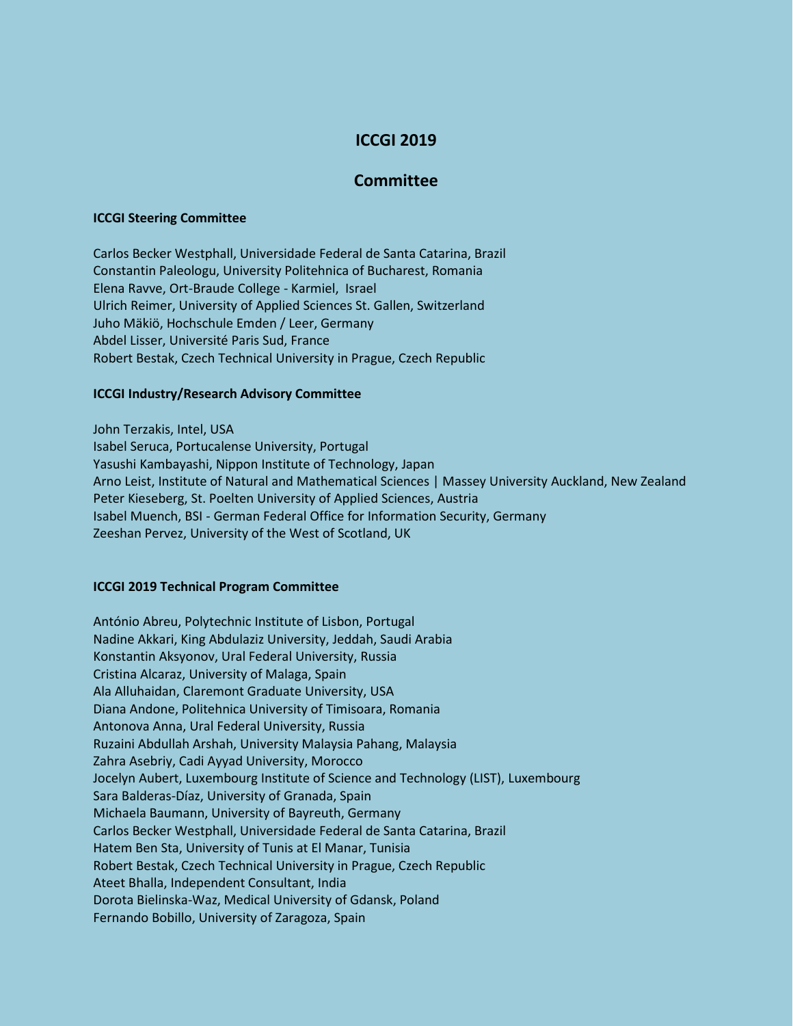# **ICCGI 2019**

## **Committee**

#### **ICCGI Steering Committee**

Carlos Becker Westphall, Universidade Federal de Santa Catarina, Brazil Constantin Paleologu, University Politehnica of Bucharest, Romania Elena Ravve, Ort-Braude College - Karmiel, Israel Ulrich Reimer, University of Applied Sciences St. Gallen, Switzerland Juho Mäkiö, Hochschule Emden / Leer, Germany Abdel Lisser, Université Paris Sud, France Robert Bestak, Czech Technical University in Prague, Czech Republic

### **ICCGI Industry/Research Advisory Committee**

John Terzakis, Intel, USA Isabel Seruca, Portucalense University, Portugal Yasushi Kambayashi, Nippon Institute of Technology, Japan Arno Leist, Institute of Natural and Mathematical Sciences | Massey University Auckland, New Zealand Peter Kieseberg, St. Poelten University of Applied Sciences, Austria Isabel Muench, BSI - German Federal Office for Information Security, Germany Zeeshan Pervez, University of the West of Scotland, UK

#### **ICCGI 2019 Technical Program Committee**

António Abreu, Polytechnic Institute of Lisbon, Portugal Nadine Akkari, King Abdulaziz University, Jeddah, Saudi Arabia Konstantin Aksyonov, Ural Federal University, Russia Cristina Alcaraz, University of Malaga, Spain Ala Alluhaidan, Claremont Graduate University, USA Diana Andone, Politehnica University of Timisoara, Romania Antonova Anna, Ural Federal University, Russia Ruzaini Abdullah Arshah, University Malaysia Pahang, Malaysia Zahra Asebriy, Cadi Ayyad University, Morocco Jocelyn Aubert, Luxembourg Institute of Science and Technology (LIST), Luxembourg Sara Balderas-Díaz, University of Granada, Spain Michaela Baumann, University of Bayreuth, Germany Carlos Becker Westphall, Universidade Federal de Santa Catarina, Brazil Hatem Ben Sta, University of Tunis at El Manar, Tunisia Robert Bestak, Czech Technical University in Prague, Czech Republic Ateet Bhalla, Independent Consultant, India Dorota Bielinska-Waz, Medical University of Gdansk, Poland Fernando Bobillo, University of Zaragoza, Spain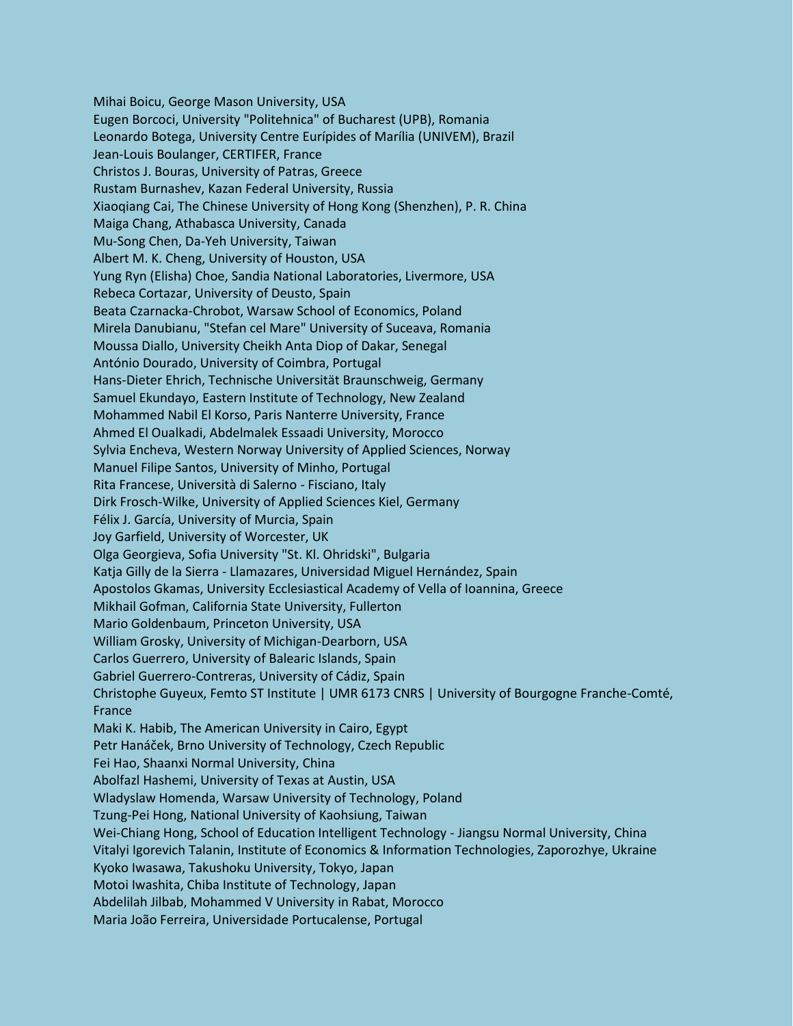Mihai Boicu, George Mason University, USA Eugen Borcoci, University "Politehnica" of Bucharest (UPB), Romania Leonardo Botega, University Centre Eurípides of Marília (UNIVEM), Brazil Jean-Louis Boulanger, CERTIFER, France Christos J. Bouras, University of Patras, Greece Rustam Burnashev, Kazan Federal University, Russia Xiaoqiang Cai, The Chinese University of Hong Kong (Shenzhen), P. R. China Maiga Chang, Athabasca University, Canada Mu-Song Chen, Da-Yeh University, Taiwan Albert M. K. Cheng, University of Houston, USA Yung Ryn (Elisha) Choe, Sandia National Laboratories, Livermore, USA Rebeca Cortazar, University of Deusto, Spain Beata Czarnacka-Chrobot, Warsaw School of Economics, Poland Mirela Danubianu, "Stefan cel Mare" University of Suceava, Romania Moussa Diallo, University Cheikh Anta Diop of Dakar, Senegal António Dourado, University of Coimbra, Portugal Hans-Dieter Ehrich, Technische Universität Braunschweig, Germany Samuel Ekundayo, Eastern Institute of Technology, New Zealand Mohammed Nabil El Korso, Paris Nanterre University, France Ahmed El Oualkadi, Abdelmalek Essaadi University, Morocco Sylvia Encheva, Western Norway University of Applied Sciences, Norway Manuel Filipe Santos, University of Minho, Portugal Rita Francese, Università di Salerno - Fisciano, Italy Dirk Frosch-Wilke, University of Applied Sciences Kiel, Germany Félix J. García, University of Murcia, Spain Joy Garfield, University of Worcester, UK Olga Georgieva, Sofia University "St. Kl. Ohridski", Bulgaria Katja Gilly de la Sierra - Llamazares, Universidad Miguel Hernández, Spain Apostolos Gkamas, University Ecclesiastical Academy of Vella of Ioannina, Greece Mikhail Gofman, California State University, Fullerton Mario Goldenbaum, Princeton University, USA William Grosky, University of Michigan-Dearborn, USA Carlos Guerrero, University of Balearic Islands, Spain Gabriel Guerrero-Contreras, University of Cádiz, Spain Christophe Guyeux, Femto ST Institute | UMR 6173 CNRS | University of Bourgogne Franche-Comté, France Maki K. Habib, The American University in Cairo, Egypt Petr Hanáček, Brno University of Technology, Czech Republic Fei Hao, Shaanxi Normal University, China Abolfazl Hashemi, University of Texas at Austin, USA Wladyslaw Homenda, Warsaw University of Technology, Poland Tzung-Pei Hong, National University of Kaohsiung, Taiwan Wei-Chiang Hong, School of Education Intelligent Technology - Jiangsu Normal University, China Vitalyi Igorevich Talanin, Institute of Economics & Information Technologies, Zaporozhye, Ukraine Kyoko Iwasawa, Takushoku University, Tokyo, Japan Motoi Iwashita, Chiba Institute of Technology, Japan Abdelilah Jilbab, Mohammed V University in Rabat, Morocco Maria João Ferreira, Universidade Portucalense, Portugal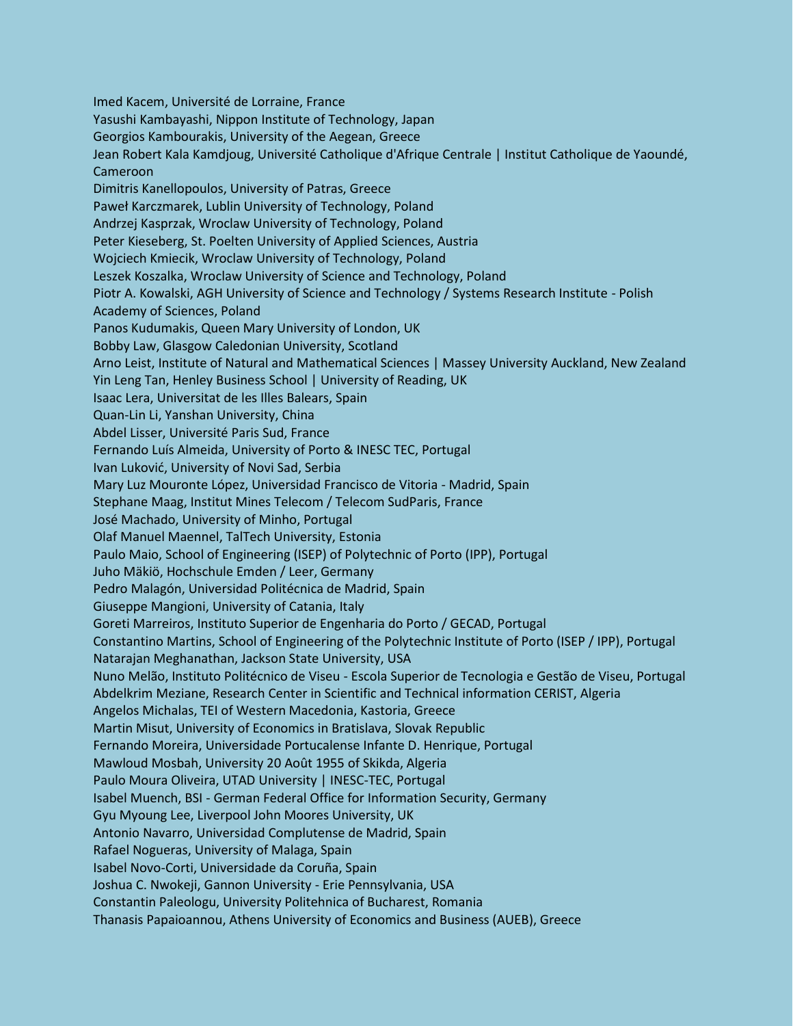Imed Kacem, Université de Lorraine, France Yasushi Kambayashi, Nippon Institute of Technology, Japan Georgios Kambourakis, University of the Aegean, Greece Jean Robert Kala Kamdjoug, Université Catholique d'Afrique Centrale | Institut Catholique de Yaoundé, Cameroon Dimitris Kanellopoulos, University of Patras, Greece Paweł Karczmarek, Lublin University of Technology, Poland Andrzej Kasprzak, Wroclaw University of Technology, Poland Peter Kieseberg, St. Poelten University of Applied Sciences, Austria Wojciech Kmiecik, Wroclaw University of Technology, Poland Leszek Koszalka, Wroclaw University of Science and Technology, Poland Piotr A. Kowalski, AGH University of Science and Technology / Systems Research Institute - Polish Academy of Sciences, Poland Panos Kudumakis, Queen Mary University of London, UK Bobby Law, Glasgow Caledonian University, Scotland Arno Leist, Institute of Natural and Mathematical Sciences | Massey University Auckland, New Zealand Yin Leng Tan, Henley Business School | University of Reading, UK Isaac Lera, Universitat de les Illes Balears, Spain Quan-Lin Li, Yanshan University, China Abdel Lisser, Université Paris Sud, France Fernando Luís Almeida, University of Porto & INESC TEC, Portugal Ivan Luković, University of Novi Sad, Serbia Mary Luz Mouronte López, Universidad Francisco de Vitoria - Madrid, Spain Stephane Maag, Institut Mines Telecom / Telecom SudParis, France José Machado, University of Minho, Portugal Olaf Manuel Maennel, TalTech University, Estonia Paulo Maio, School of Engineering (ISEP) of Polytechnic of Porto (IPP), Portugal Juho Mäkiö, Hochschule Emden / Leer, Germany Pedro Malagón, Universidad Politécnica de Madrid, Spain Giuseppe Mangioni, University of Catania, Italy Goreti Marreiros, Instituto Superior de Engenharia do Porto / GECAD, Portugal Constantino Martins, School of Engineering of the Polytechnic Institute of Porto (ISEP / IPP), Portugal Natarajan Meghanathan, Jackson State University, USA Nuno Melão, Instituto Politécnico de Viseu - Escola Superior de Tecnologia e Gestão de Viseu, Portugal Abdelkrim Meziane, Research Center in Scientific and Technical information CERIST, Algeria Angelos Michalas, TEI of Western Macedonia, Kastoria, Greece Martin Misut, University of Economics in Bratislava, Slovak Republic Fernando Moreira, Universidade Portucalense Infante D. Henrique, Portugal Mawloud Mosbah, University 20 Août 1955 of Skikda, Algeria Paulo Moura Oliveira, UTAD University | INESC-TEC, Portugal Isabel Muench, BSI - German Federal Office for Information Security, Germany Gyu Myoung Lee, Liverpool John Moores University, UK Antonio Navarro, Universidad Complutense de Madrid, Spain Rafael Nogueras, University of Malaga, Spain Isabel Novo-Corti, Universidade da Coruña, Spain Joshua C. Nwokeji, Gannon University - Erie Pennsylvania, USA Constantin Paleologu, University Politehnica of Bucharest, Romania Thanasis Papaioannou, Athens University of Economics and Business (AUEB), Greece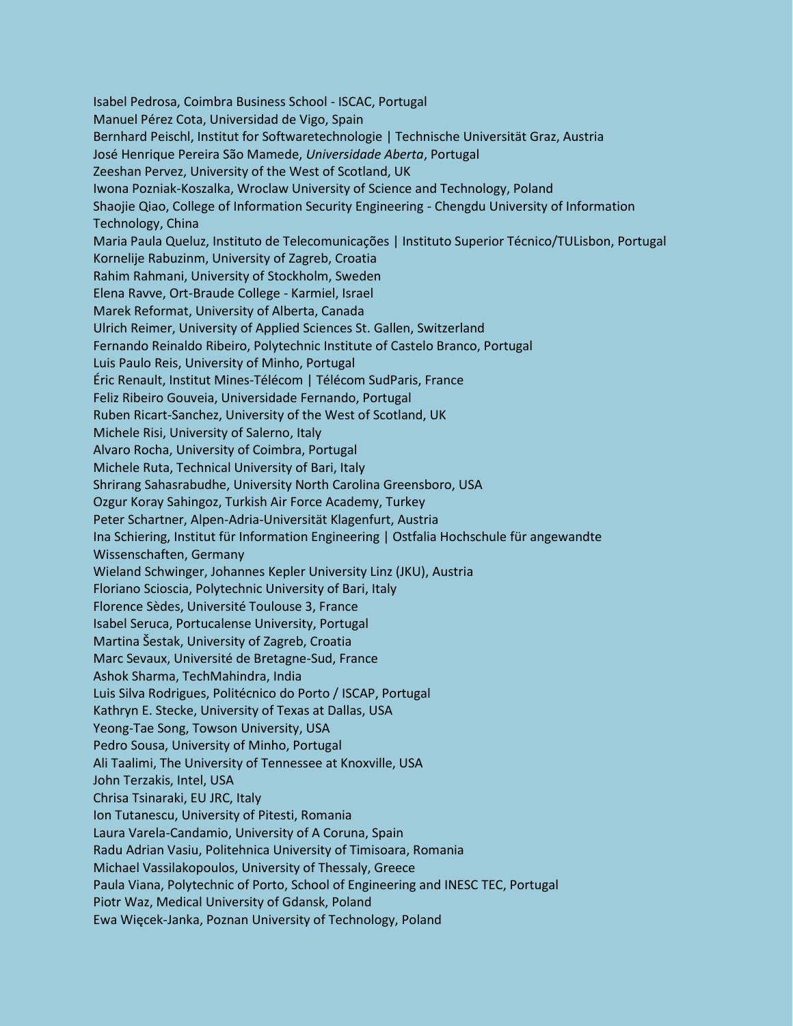Isabel Pedrosa, Coimbra Business School - ISCAC, Portugal Manuel Pérez Cota, Universidad de Vigo, Spain Bernhard Peischl, Institut for Softwaretechnologie | Technische Universität Graz, Austria José Henrique Pereira São Mamede, *Universidade Aberta*, Portugal Zeeshan Pervez, University of the West of Scotland, UK Iwona Pozniak-Koszalka, Wroclaw University of Science and Technology, Poland Shaojie Qiao, College of Information Security Engineering - Chengdu University of Information Technology, China Maria Paula Queluz, Instituto de Telecomunicações | Instituto Superior Técnico/TULisbon, Portugal Kornelije Rabuzinm, University of Zagreb, Croatia Rahim Rahmani, University of Stockholm, Sweden Elena Ravve, Ort-Braude College - Karmiel, Israel Marek Reformat, University of Alberta, Canada Ulrich Reimer, University of Applied Sciences St. Gallen, Switzerland Fernando Reinaldo Ribeiro, Polytechnic Institute of Castelo Branco, Portugal Luis Paulo Reis, University of Minho, Portugal Éric Renault, Institut Mines-Télécom | Télécom SudParis, France Feliz Ribeiro Gouveia, Universidade Fernando, Portugal Ruben Ricart-Sanchez, University of the West of Scotland, UK Michele Risi, University of Salerno, Italy Alvaro Rocha, University of Coimbra, Portugal Michele Ruta, Technical University of Bari, Italy Shrirang Sahasrabudhe, University North Carolina Greensboro, USA Ozgur Koray Sahingoz, Turkish Air Force Academy, Turkey Peter Schartner, Alpen-Adria-Universität Klagenfurt, Austria Ina Schiering, Institut für Information Engineering | Ostfalia Hochschule für angewandte Wissenschaften, Germany Wieland Schwinger, Johannes Kepler University Linz (JKU), Austria Floriano Scioscia, Polytechnic University of Bari, Italy Florence Sèdes, Université Toulouse 3, France Isabel Seruca, Portucalense University, Portugal Martina Šestak, University of Zagreb, Croatia Marc Sevaux, Université de Bretagne-Sud, France Ashok Sharma, TechMahindra, India Luis Silva Rodrigues, Politécnico do Porto / ISCAP, Portugal Kathryn E. Stecke, University of Texas at Dallas, USA Yeong-Tae Song, Towson University, USA Pedro Sousa, University of Minho, Portugal Ali Taalimi, The University of Tennessee at Knoxville, USA John Terzakis, Intel, USA Chrisa Tsinaraki, EU JRC, Italy Ion Tutanescu, University of Pitesti, Romania Laura Varela-Candamio, University of A Coruna, Spain Radu Adrian Vasiu, Politehnica University of Timisoara, Romania Michael Vassilakopoulos, University of Thessaly, Greece Paula Viana, Polytechnic of Porto, School of Engineering and INESC TEC, Portugal Piotr Waz, Medical University of Gdansk, Poland Ewa Więcek-Janka, Poznan University of Technology, Poland